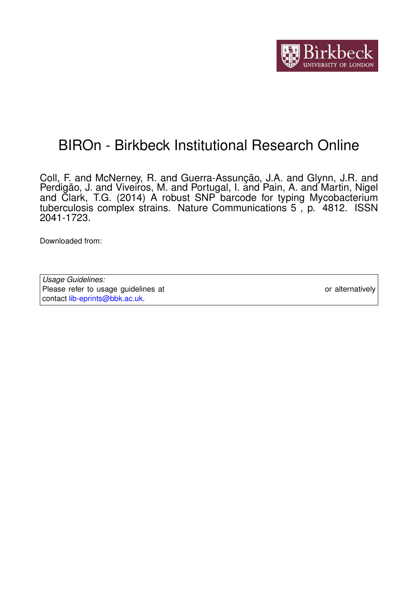

## BIROn - Birkbeck Institutional Research Online

Coll, F. and McNerney, R. and Guerra-Assunção, J.A. and Glynn, J.R. and Perdigão, J. and Viveiros, M. and Portugal, I. and Pain, A. and Martin, Nigel and Clark, T.G. (2014) A robust SNP barcode for typing Mycobacterium tuberculosis complex strains. Nature Communications 5 , p. 4812. ISSN 2041-1723.

Downloaded from: <https://eprints.bbk.ac.uk/id/eprint/10453/>

*Usage Guidelines:* Please refer to usage guidelines at <https://eprints.bbk.ac.uk/policies.html> or alternatively contact [lib-eprints@bbk.ac.uk.](mailto:lib-eprints@bbk.ac.uk)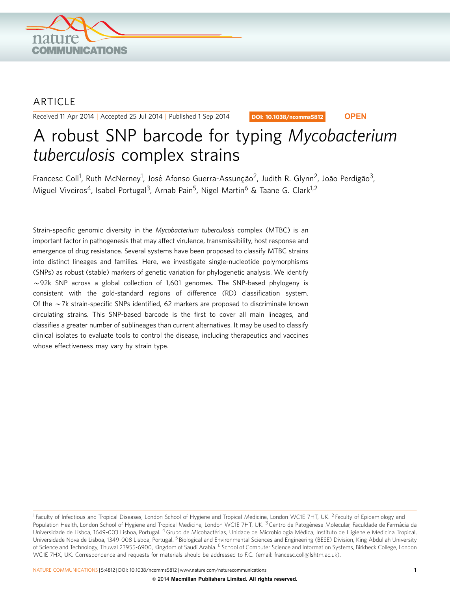

### **ARTICLE**

Received 11 Apr 2014 | Accepted 25 Jul 2014 | Published 1 Sep 2014

DOI: 10.1038/ncomms5812 **OPEN**

# A robust SNP barcode for typing Mycobacterium tuberculosis complex strains

Francesc Coll<sup>1</sup>, Ruth McNerney<sup>1</sup>, José Afonso Guerra-Assunção<sup>2</sup>, Judith R. Glynn<sup>2</sup>, João Perdigão<sup>3</sup>, Miguel Viveiros<sup>4</sup>, Isabel Portugal<sup>3</sup>, Arnab Pain<sup>5</sup>, Nigel Martin<sup>6</sup> & Taane G. Clark<sup>1,2</sup>

Strain-specific genomic diversity in the Mycobacterium tuberculosis complex (MTBC) is an important factor in pathogenesis that may affect virulence, transmissibility, host response and emergence of drug resistance. Several systems have been proposed to classify MTBC strains into distinct lineages and families. Here, we investigate single-nucleotide polymorphisms (SNPs) as robust (stable) markers of genetic variation for phylogenetic analysis. We identify  $\sim$  92k SNP across a global collection of 1,601 genomes. The SNP-based phylogeny is consistent with the gold-standard regions of difference (RD) classification system. Of the  $\sim$  7k strain-specific SNPs identified, 62 markers are proposed to discriminate known circulating strains. This SNP-based barcode is the first to cover all main lineages, and classifies a greater number of sublineages than current alternatives. It may be used to classify clinical isolates to evaluate tools to control the disease, including therapeutics and vaccines whose effectiveness may vary by strain type.

<sup>&</sup>lt;sup>1</sup> Faculty of Infectious and Tropical Diseases, London School of Hygiene and Tropical Medicine, London WC1E 7HT, UK. <sup>2</sup> Faculty of Epidemiology and Population Health, London School of Hygiene and Tropical Medicine, London WC1E 7HT, UK. <sup>3</sup> Centro de Patogénese Molecular, Faculdade de Farmácia da Universidade de Lisboa, 1649-003 Lisboa, Portugal. <sup>4</sup> Grupo de Micobactérias, Unidade de Microbiologia Médica, Instituto de Higiene e Medicina Tropical, Universidade Nova de Lisboa, 1349-008 Lisboa, Portugal. <sup>5</sup> Biological and Environmental Sciences and Engineering (BESE) Division, King Abdullah University of Science and Technology, Thuwal 23955-6900, Kingdom of Saudi Arabia. <sup>6</sup> School of Computer Science and Information Systems, Birkbeck College, London WC1E 7HX, UK. Correspondence and requests for materials should be addressed to F.C. (email: [francesc.coll@lshtm.ac.uk](mailto:francesc.coll@lshtm.ac.uk)).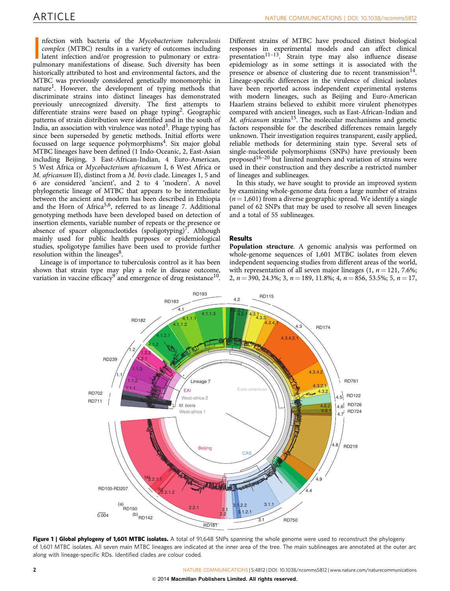<span id="page-2-0"></span>nfection with bacteria of the *Mycobacterium tuberculosis*<br>complex (MTBC) results in a variety of outcomes including<br>latent infection and/or progression to pulmonary or extra-<br>pulmonary manifestations of disease. Such dive nfection with bacteria of the Mycobacterium tuberculosis complex (MTBC) results in a variety of outcomes including latent infection and/or progression to pulmonary or extrahistorically attributed to host and environmental factors, and the MTBC was previously considered genetically monomorphic in nature<sup>1</sup>. However, the development of typing methods that discriminate strains into distinct lineages has demonstrated previously unrecognized diversity. The first attempts to differentiate strains were based on phage typing<sup>[2](#page-4-0)</sup>. Geographic patterns of strain distribution were identified and in the south of India, an association with virulence was noted<sup>[3](#page-4-0)</sup>. Phage typing has since been superseded by genetic methods. Initial efforts were focussed on large sequence polymorphisms<sup>[4](#page-4-0)</sup>. Six major global MTBC lineages have been defined (1 Indo-Oceanic, 2, East-Asian including Beijing, 3 East-African-Indian, 4 Euro-American, 5 West Africa or Mycobacterium africanum I, 6 West Africa or M. africanum II), distinct from a M. bovis clade. Lineages 1, 5 and 6 are considered 'ancient', and 2 to 4 'modern'. A novel phylogenetic lineage of MTBC that appears to be intermediate between the ancient and modern has been described in Ethiopia and the Horn of Africa<sup>[5,6](#page-4-0)</sup>, referred to as lineage 7. Additional genotyping methods have been developed based on detection of insertion elements, variable number of repeats or the presence or absence of spacer oligonucleotides (spoligotyping)<sup>[7](#page-4-0)</sup>. Although mainly used for public health purposes or epidemiological studies, spoligotype families have been used to provide further resolution within the lineages<sup>8</sup>.

Lineage is of importance to tuberculosis control as it has been shown that strain type may play a role in disease outcome, variation in vaccine efficacy<sup>[9](#page-4-0)</sup> and emergence of drug resistance<sup>10</sup>.

Different strains of MTBC have produced distinct biological responses in experimental models and can affect clinical presentation<sup>[11–13](#page-4-0)</sup>. Strain type may also influence disease epidemiology as in some settings it is associated with the presence or absence of clustering due to recent transmission  $14$ . Lineage-specific differences in the virulence of clinical isolates have been reported across independent experimental systems with modern lineages, such as Beijing and Euro-American Haarlem strains believed to exhibit more virulent phenotypes compared with ancient lineages, such as East-African-Indian and M.  $a$ fricanum strains<sup>[15](#page-5-0)</sup>. The molecular mechanisms and genetic factors responsible for the described differences remain largely unknown. Their investigation requires transparent, easily applied, reliable methods for determining stain type. Several sets of single-nucleotide polymorphisms (SNPs) have previously been proposed[16–20](#page-5-0) but limited numbers and variation of strains were used in their construction and they describe a restricted number of lineages and sublineages.

In this study, we have sought to provide an improved system by examining whole-genome data from a large number of strains  $(n = 1,601)$  from a diverse geographic spread. We identify a single panel of 62 SNPs that may be used to resolve all seven lineages and a total of 55 sublineages.

#### Results

Population structure. A genomic analysis was performed on whole-genome sequences of 1,601 MTBC isolates from eleven independent sequencing studies from different areas of the world, with representation of all seven major lineages  $(1, n = 121, 7.6\%;$ 2,  $n = 390, 24.3\%$ ; 3,  $n = 189, 11.8\%$ ; 4,  $n = 856, 53.5\%$ ; 5,  $n = 17$ ,



Figure 1 | Global phylogeny of 1,601 MTBC isolates. A total of 91,648 SNPs spanning the whole genome were used to reconstruct the phylogeny of 1,601 MTBC isolates. All seven main MTBC lineages are indicated at the inner area of the tree. The main sublineages are annotated at the outer arc along with lineage-specific RDs. Identified clades are colour coded.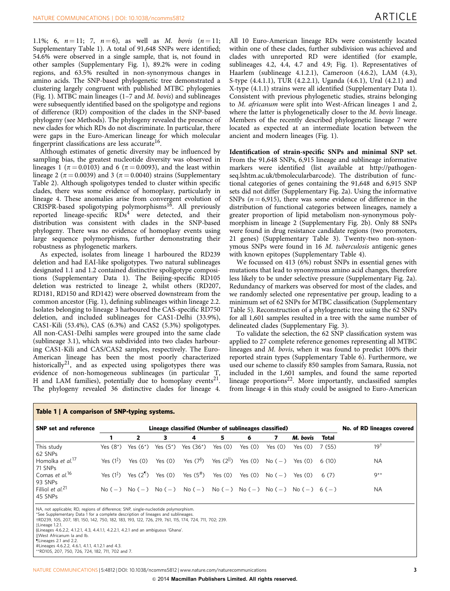<span id="page-3-0"></span>1.1%; 6,  $n = 11$ ; 7,  $n = 6$ ), as well as M. bovis  $(n = 11)$ ; Supplementary Table 1). A total of 91,648 SNPs were identified; 54.6% were observed in a single sample, that is, not found in other samples (Supplementary Fig. 1), 89.2% were in coding regions, and 63.5% resulted in non-synonymous changes in amino acids. The SNP-based phylogenetic tree demonstrated a clustering largely congruent with published MTBC phylogenies ([Fig. 1\)](#page-2-0). MTBC main lineages (1–7 and M. bovis) and sublineages were subsequently identified based on the spoligotype and regions of difference (RD) composition of the clades in the SNP-based phylogeny (see Methods). The phylogeny revealed the presence of new clades for which RDs do not discriminate. In particular, there were gaps in the Euro-American lineage for which molecular fingerprint classifications are less accurate<sup>16</sup>.

Although estimates of genetic diversity may be influenced by sampling bias, the greatest nucleotide diversity was observed in lineages 1 ( $\pi$  = 0.0103) and 6 ( $\pi$  = 0.0093), and the least within lineage 2 ( $\pi$  = 0.0039) and 3 ( $\pi$  = 0.0040) strains (Supplementary Table 2). Although spoligotypes tended to cluster within specific clades, there was some evidence of homoplasy, particularly in lineage 4. These anomalies arise from convergent evolution of CRISPR-based spoligotyping polymorphisms<sup>16</sup>. All previously reported lineage-specific  $RDs<sup>4</sup>$  $RDs<sup>4</sup>$  $RDs<sup>4</sup>$  were detected, and their distribution was consistent with clades in the SNP-based phylogeny. There was no evidence of homoplasy events using large sequence polymorphisms, further demonstrating their robustness as phylogenetic markers.

As expected, isolates from lineage 1 harboured the RD239 deletion and had EAI-like spoligotypes. Two natural sublineages designated 1.1 and 1.2 contained distinctive spoligotype compositions (Supplementary Data 1). The Beijing-specific RD105 deletion was restricted to lineage 2, whilst others (RD207, RD181, RD150 and RD142) were observed downstream from the common ancestor ([Fig. 1](#page-2-0)), defining sublineages within lineage 2.2. Isolates belonging to lineage 3 harboured the CAS-specific RD750 deletion, and included sublineages for CAS1-Delhi (33.9%), CAS1-Kili (53.4%), CAS (6.3%) and CAS2 (5.3%) spoligotypes. All non-CAS1-Delhi samples were grouped into the same clade (sublineage 3.1), which was subdivided into two clades harbouring CAS1-Kili and CAS/CAS2 samples, respectively. The Euro-American lineage has been the most poorly characterized historically<sup>21</sup>, and as expected using spoligotypes there was evidence of non-homogeneous sublineages (in particular T, H and LAM families), potentially due to homoplasy events<sup>21</sup>. The phylogeny revealed 36 distinctive clades for lineage 4.

All 10 Euro-American lineage RDs were consistently located within one of these clades, further subdivision was achieved and clades with unreported RD were identified (for example, sublineages 4.2, 4.4, 4.7 and 4.9; [Fig. 1](#page-2-0)). Representatives of Haarlem (sublineage 4.1.2.1), Cameroon (4.6.2), LAM (4.3), S-type (4.4.1.1), TUR (4.2.2.1), Uganda (4.6.1), Ural (4.2.1) and X-type (4.1.1) strains were all identified (Supplementary Data 1). Consistent with previous phylogenetic studies, strains belonging to M. africanum were split into West-African lineages 1 and 2, where the latter is phylogenetically closer to the *M. bovis* lineage. Members of the recently described phylogenetic lineage 7 were located as expected at an intermediate location between the ancient and modern lineages ([Fig. 1](#page-2-0)).

Identification of strain-specific SNPs and minimal SNP set. From the 91,648 SNPs, 6,915 lineage and sublineage informative markers were identified (list available at [http://pathogen](http://pathogenseq.lshtm.ac.uk/tbmolecularbarcode)[seq.lshtm.ac.uk/tbmolecularbarcode\)](http://pathogenseq.lshtm.ac.uk/tbmolecularbarcode). The distribution of functional categories of genes containing the 91,648 and 6,915 SNP sets did not differ (Supplementary Fig. 2a). Using the informative SNPs ( $n = 6,915$ ), there was some evidence of difference in the distribution of functional categories between lineages, namely a greater proportion of lipid metabolism non-synonymous polymorphism in lineage 2 (Supplementary Fig. 2b). Only 88 SNPs were found in drug resistance candidate regions (two promoters, 21 genes) (Supplementary Table 3). Twenty-two non-synonymous SNPs were found in 16 M. tuberculosis antigenic genes with known epitopes (Supplementary Table 4).

We focussed on 413 (6%) robust SNPs in essential genes with mutations that lead to synonymous amino acid changes, therefore less likely to be under selective pressure (Supplementary Fig. 2a). Redundancy of markers was observed for most of the clades, and we randomly selected one representative per group, leading to a minimum set of 62 SNPs for MTBC classification (Supplementary Table 5). Reconstruction of a phylogenetic tree using the 62 SNPs for all 1,601 samples resulted in a tree with the same number of delineated clades (Supplementary Fig. 3).

To validate the selection, the 62 SNP classification system was applied to 27 complete reference genomes representing all MTBC lineages and M. bovis, when it was found to predict 100% their reported strain types (Supplementary Table 6). Furthermore, we used our scheme to classify 850 samples from Samara, Russia, not included in the 1,601 samples, and found the same reported lineage proportions<sup>[22](#page-5-0)</sup>. More importantly, unclassified samples from lineage 4 in this study could be assigned to Euro-American

| <b>SNP</b> set and reference            | Lineage classified (Number of sublineages classified) |                                                    |             |                       |                        |           |                    |                                            |              | No. of RD lineages covered |
|-----------------------------------------|-------------------------------------------------------|----------------------------------------------------|-------------|-----------------------|------------------------|-----------|--------------------|--------------------------------------------|--------------|----------------------------|
|                                         |                                                       | 2                                                  | з           | 4                     | 5                      | 6         |                    | M. bovis                                   | <b>Total</b> |                            |
| This study<br>62 SNPs                   | Yes $(8^*)$                                           | Yes $(6^*)$                                        | Yes $(5^*)$ | Yes $(36^*)$          | Yes $(0)$              | Yes $(0)$ | Yes $(0)$          | Yes $(0)$                                  | 7(55)        | 191                        |
| Homolka et al. <sup>17</sup><br>71 SNPs | Yes $(1^{\frac{1}{2}})$                               | Yes $(0)$                                          | Yes $(0)$   | Yes $(7^{\S})$        | Yes (2 <sup>ll</sup> ) |           | Yes $(0)$ No $(-)$ | Yes (0)                                    | 6(10)        | <b>NA</b>                  |
| Comas et al. <sup>16</sup><br>93 SNPs   | Yes $(1^{\frac{1}{2}})$                               | Yes $(2^{\mathbb{I}})$                             | Yes $(0)$   | Yes (5 <sup>#</sup> ) | Yes $(0)$              | Yes $(0)$ | $No(-)$            | Yes $(0)$                                  | 6(7)         | $9**$                      |
| Filliol et $al^{21}$<br>45 SNPs         |                                                       | $\mathrm{No}(-)$ $\mathrm{No}(-)$ $\mathrm{No}(-)$ |             | No $(-)$              |                        |           |                    | $N_0(-)$ $N_0(-)$ $N_0(-)$ $N_0(-)$ $6(-)$ |              | <b>NA</b>                  |

#### Table 1 | A comparison of SNP-typing systems.

NA, not applicable; RD, regions of difference; SNP, single-nucleotide polymorphism.

\*See Supplementary Data 1 for a complete description of lineages and sublineage

wRD239, 105, 207, 181, 150, 142, 750, 182, 183, 193, 122, 726, 219, 761, 115, 174, 724, 711, 702; 239. zLineage 1.2.1.

yLineages 4.6.2.2, 4.1.2.1, 4.3, 4.4.1.1, 4.2.2.1, 4.2.1 and an ambiguous 'Ghana'.

||West Africanum Ia and Ib.

¶Lineages 2.1 and 2.2.<br>#Lineages 4.6.2.2, 4.6.1, 4.1.1, 4.1.2.1 and 4.3.

\*\*RD105, 207, 750, 726, 724, 182, 711, 702 and 7.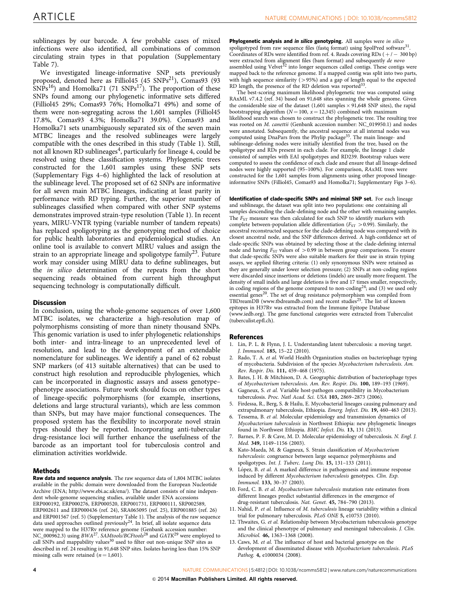<span id="page-4-0"></span>sublineages by our barcode. A few probable cases of mixed infections were also identified, all combinations of common circulating strain types in that population (Supplementary Table 7).

We investigated lineage-informative SNP sets previously proposed, denoted here as Filliol45 (45  $SNPs^{21}$ ), Comas93 (93  $SNPs^{16}$  $SNPs^{16}$  $SNPs^{16}$ ) and Homolka71 (71  $SNPs^{17}$  $SNPs^{17}$  $SNPs^{17}$ ). The proportion of these SNPs found among our phylogenetic informative sets differed (Filliol45 29%; Comas93 76%; Homolka71 49%) and some of them were non-segregating across the 1,601 samples (Filliol45 17.8%, Comas93 4.3%; Homolka71 39.0%). Comas93 and Homolka71 sets unambiguously separated six of the seven main MTBC lineages and the resolved sublineages were largely compatible with the ones described in this study ([Table 1\)](#page-3-0). Still, not all known RD sublineages<sup>4</sup>, particularly for lineage 4, could be resolved using these classification systems. Phylogenetic trees constructed for the 1,601 samples using these SNP sets (Supplementary Figs 4–6) highlighted the lack of resolution at the sublineage level. The proposed set of 62 SNPs are informative for all seven main MTBC lineages, indicating at least parity in performance with RD typing. Further, the superior number of sublineages classified when compared with other SNP systems demonstrates improved strain-type resolution [\(Table 1](#page-3-0)). In recent years, MIRU-VNTR typing (variable number of tandem repeats) has replaced spoligotyping as the genotyping method of choice for public health laboratories and epidemiological studies. An online tool is available to convert MIRU values and assign the strain to an appropriate lineage and spoligotype family<sup>23</sup>. Future work may consider using MIRU data to define sublineages, but the in silico determination of the repeats from the short sequencing reads obtained from current high throughput sequencing technology is computationally difficult.

#### **Discussion**

In conclusion, using the whole-genome sequences of over 1,600 MTBC isolates, we characterize a high-resolution map of polymorphisms consisting of more than ninety thousand SNPs. This genomic variation is used to infer phylogenetic relationships both inter- and intra-lineage to an unprecedented level of resolution, and lead to the development of an extendable nomenclature for sublineages. We identify a panel of 62 robust SNP markers (of 413 suitable alternatives) that can be used to construct high resolution and reproducible phylogenies, which can be incorporated in diagnostic assays and assess genotype– phenotype associations. Future work should focus on other types of lineage-specific polymorphisms (for example, insertions, deletions and large structural variants), which are less common than SNPs, but may have major functional consequences. The proposed system has the flexibility to incorporate novel strain types should they be reported. Incorporating anti-tubercular drug-resistance loci will further enhance the usefulness of the barcode as an important tool for tuberculosis control and elimination activities worldwide.

#### Methods

Raw data and sequence analysis. The raw sequence data of 1,804 MTBC isolates available in the public domain were downloaded from the European Nucleotide Archive (ENA; [http://www.ebi.ac.uk/ena/\)](http://www.ebi.ac.uk/ena/). The dataset consists of nine independent whole-genome sequencing studies, available under ENA accessions ERP000192, ERP000276, ERP000520, ERP001731, ERP000111, SRP002589, ERP002611 and ERP000436 ([ref. 24](#page-5-0)), SRA065095 ([ref. 25](#page-5-0)), ERP001885 [\(ref. 26\)](#page-5-0) and ERP001567 (ref. 5) (Supplementary Table 1). The analysis of the raw sequence data used approaches outlined previously $^{24}$ . In brief, all isolate sequence data were mapped to the H37Rv reference genome (Genbank accession number: NC\_000962.3) using  $BWA^{27}$  $BWA^{27}$  $BWA^{27}$ . SAMtools/BCFtools<sup>[28](#page-5-0)</sup> and GATK<sup>[29](#page-5-0)</sup> were employed to call SNPs and mappability values<sup>[30](#page-5-0)</sup> used to filter out non-unique SNP sites as described in [ref. 24](#page-5-0) resulting in 91,648 SNP sites. Isolates having less than 15% SNP missing calls were retained  $(n = 1,601)$ .

Phylogenetic analysis and in silico genotyping. All samples were in silico spoligotyped from raw sequence files (fastq format) using SpolPred software<sup>31</sup> Coordinates of RDs were identified from ref. 4. Reads covering RDs  $(+/- 300$  bp) were extracted from alignment files (bam format) and subsequently *de novo* assembled using Velvet<sup>[32](#page-5-0)</sup> into longer sequences called contigs. These contigs were mapped back to the reference genome. If a mapped contig was split into two parts, with high sequence similarity  $(>95%)$  and a gap of length equal to the expected RD length, the presence of the RD deletion was reported<sup>[33](#page-5-0)</sup>

The best-scoring maximum likelihood phylogenetic tree was computed using RAxML v7.4.2 [\(ref. 34\)](#page-5-0) based on 91,648 sites spanning the whole genome. Given the considerable size of the dataset (1,601 samples  $\times$  91,648 SNP sites), the rapid bootstrapping algorithm ( $N = 100$ ,  $x = 12,345$ ) combined with maximum likelihood search was chosen to construct the phylogenetic tree. The resulting tree was rooted on *M. canettii* (Genbank accession number: NC\_019950.1) and nodes were annotated. Subsequently, the ancestral sequence at all internal nodes was computed using DnaPars from the Phylip package<sup>[35](#page-5-0)</sup>. The main lineage- and sublineage-defining nodes were initially identified from the tree, based on the spoligotype and RDs present in each clade. For example, the lineage 1 clade consisted of samples with EAI spoligotypes and RD239. Bootstrap values were computed to assess the confidence of each clade and ensure that all lineage-defined nodes were highly supported (95–100%). For comparison, RAxML trees were constructed for the 1,601 samples from alignments using other proposed lineageinformative SNPs (Filliol45, Comas93 and Homolka71; Supplementary Figs 3–6).

Identification of clade-specific SNPs and minimal SNP set. For each lineage and sublineage, the dataset was split into two populations: one containing all samples descending the clade-defining node and the other with remaining samples. The  $F_{ST}$  measure was then calculated for each SNP to identify markers with complete between-population allele differentiation ( $F_{ST} > 0.99$ ). Similarly, the ancestral reconstructed sequence for the clade-defining node was compared with its closest ancestral node, and the SNP differences derived. A high-confidence set of clade-specific SNPs was obtained by selecting those at the clade-defining internal node and having  $F_{ST}$  values of  $> 0.99$  in between group comparisons. To ensure that clade-specific SNPs were also suitable markers for their use in strain typing assays, we applied filtering criteria: (1) only synonymous SNPs were retained as they are generally under lower selection pressure; (2) SNPs at non-coding regions were discarded since insertions or deletions (indels) are usually more frequent. The density of small indels and large deletions is five and 17 times smaller, respectively, in coding regions of the genome compared to non-coding<sup>[24](#page-5-0)</sup>; and (3) we used only essential genes<sup>[20](#page-5-0)</sup>. The set of drug resistance polymorphism was compiled from TBDreamDB [\(www.tbdreamdb.com](www.tbdreamdb.com)) and recent studies<sup>[25](#page-5-0)</sup>. The list of known epitopes in H37Rv was extracted from the Immune Epitope Database [\(www.iedb.org](www.iedb.org)). The gene functional categories were extracted from Tuberculist (tuberculist.epfl.ch).

#### References

- 1. Lin, P. L. & Flynn, J. L. Understanding latent tuberculosis: a moving target. J. Immunol. 185, 15–22 (2010).
- 2. Rado, T. A. et al. World Health Organization studies on bacteriophage typing of mycobacteria. Subdivision of the species Mycobacterium tuberculosis. Am. Rev. Respir. Dis. 111, 459–468 (1975).
- 3. Bates, J. H. & Mitchison, D. A. Geographic distribution of bacteriophage types of Mycobacterium tuberculosis. Am. Rev. Respir. Dis. 100, 189–193 (1969).
- 4. Gagneux, S. et al. Variable host-pathogen compatibility in Mycobacterium tuberculosis. Proc. Natl Acad. Sci. USA 103, 2869–2873 (2006).
- 5. Firdessa, R., Berg, S. & Hailu, E. Mycobacterial lineages causing pulmonary and extrapulmonary tuberculosis, Ethiopia. Emerg. Infect. Dis. 19, 460–463 (2013).
- 6. Tessema, B. et al. Molecular epidemiology and transmission dynamics of Mycobacterium tuberculosis in Northwest Ethiopia: new phylogenetic lineages found in Northwest Ethiopia. BMC Infect. Dis. 13, 131 (2013).
- Barnes, P. F. & Cave, M. D. Molecular epidemiology of tuberculosis. N. Engl. J. Med. 349, 1149–1156 (2003).
- 8. Kato-Maeda, M. & Gagneux, S. Strain classification of Mycobacterium tuberculosis: congruence between large sequence polymorphisms and spoligotypes. Int. J. Tuberc. Lung Dis. 15, 131–133 (2011).
- 9. López, B. et al. A marked difference in pathogenesis and immune response induced by different Mycobacterium tuberculosis genotypes. Clin. Exp. Immunol. 133, 30–37 (2003).
- 10. Ford, C. B. et al. Mycobacterium tuberculosis mutation rate estimates from different lineages predict substantial differences in the emergence of drug-resistant tuberculosis. Nat. Genet. 45, 784–790 (2013).
- 11. Nahid, P. et al. Influence of M. tuberculosis lineage variability within a clinical trial for pulmonary tuberculosis. PLoS ONE 5, e10753 (2010).
- 12. Thwaites, G. et al. Relationship between Mycobacterium tuberculosis genotype and the clinical phenotype of pulmonary and meningeal tuberculosis. J. Clin. Microbiol. 46, 1363–1368 (2008).
- 13. Caws, M. et al. The influence of host and bacterial genotype on the development of disseminated disease with Mycobacterium tuberculosis. PLoS Pathog. 4, e1000034 (2008).